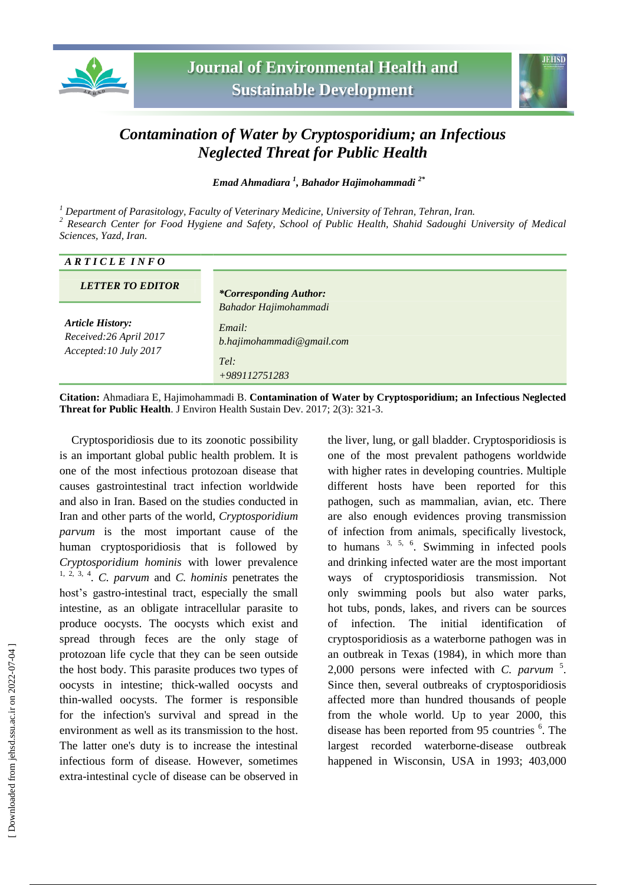



## *Contamination of Water by Cryptosporidium; an Infectious Neglected Threat for Public Health*

*Emad Ahmadiara <sup>1</sup> , Bahador Hajimohammadi 2\**

*<sup>1</sup> Department of Parasitology, Faculty of Veterinary Medicine, University of Tehran, Tehran, Iran. <sup>2</sup> Research Center for Food Hygiene and Safety, School of Public Health, Shahid Sadoughi University of Medical* 

| Sciences, Yazd, Iran. |  |  |
|-----------------------|--|--|
|                       |  |  |

| ARTICLE INFO                                     |                                     |
|--------------------------------------------------|-------------------------------------|
| <b>LETTER TO EDITOR</b>                          | <i>*Corresponding Author:</i>       |
| <b>Article History:</b>                          | Bahador Hajimohammadi               |
| Received:26 April 2017<br>Accepted: 10 July 2017 | Email:<br>b.hajimohammadi@gmail.com |
|                                                  | Tel:<br>$+989112751283$             |

**Citation:** Ahmadiara E, Hajimohammadi B. **Contamination of Water by Cryptosporidium; an Infectious Neglected Threat for Public Health**. J Environ Health Sustain Dev. 2017; 2(3): 321-3.

Cryptosporidiosis due to its zoonotic possibility is an important global public health problem. It is one of the most infectious protozoan disease that causes gastrointestinal tract infection worldwide and also in Iran. Based on the studies conducted in Iran and other parts of the world, *Cryptosporidium parvum* is the most important cause of the human cryptosporidiosis that is followed by *Cryptosporidium hominis* with lower prevalence 1, 2, 3, 4 . *C. parvum* and *C. hominis* penetrates the host's gastro-intestinal tract, especially the small intestine, as an obligate intracellular parasite to produce oocysts. The oocysts which exist and spread through feces are the only stage of protozoan life cycle that they can be seen outside the host body. This parasite produces two types of oocysts in intestine; thick-walled oocysts and thin-walled oocysts. The former is responsible for the infection's survival and spread in the environment as well as its transmission to the host. The latter one's duty is to increase the intestinal infectious form of disease. However, sometimes extra-intestinal cycle of disease can be observed in

the liver, lung, or gall bladder. Cryptosporidiosis is one of the most prevalent pathogens worldwide with higher rates in developing countries. Multiple different hosts have been reported for this pathogen, such as mammalian, avian, etc. There are also enough evidences proving transmission of infection from animals, specifically livestock, to humans  $3, 5, 6$ . Swimming in infected pools and drinking infected water are the most important ways of cryptosporidiosis transmission. Not only swimming pools but also water parks, hot tubs, ponds, lakes, and rivers can be sources of infection. The initial identification of cryptosporidiosis as a waterborne pathogen was in an outbreak in Texas (1984), in which more than 2,000 persons were infected with *C. parvum* <sup>5</sup> . Since then, several outbreaks of cryptosporidiosis affected more than hundred thousands of people from the whole world. Up to year 2000, this disease has been reported from 95 countries <sup>6</sup>. The largest recorded waterborne-disease outbreak happened in Wisconsin, USA in 1993; 403,000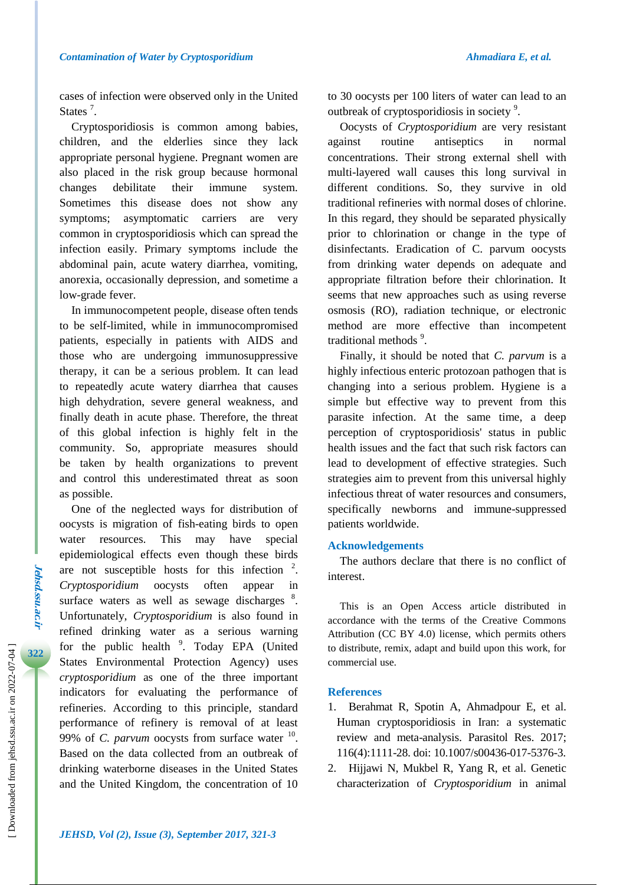cases of infection were observed only in the United States<sup>7</sup>.

Cryptosporidiosis is common among babies, children, and the elderlies since they lack appropriate personal hygiene. Pregnant women are also placed in the risk group because hormonal changes debilitate their immune system. Sometimes this disease does not show any symptoms; asymptomatic carriers are very common in cryptosporidiosis which can spread the infection easily. Primary symptoms include the abdominal pain, acute watery diarrhea, vomiting, anorexia, occasionally depression, and sometime a low-grade fever.

In immunocompetent people, disease often tends to be self-limited, while in immunocompromised patients, especially in patients with AIDS and those who are undergoing immunosuppressive therapy, it can be a serious problem. It can lead to repeatedly acute watery diarrhea that causes high dehydration, severe general weakness, and finally death in acute phase. Therefore, the threat of this global infection is highly felt in the community. So, appropriate measures should be taken by health organizations to prevent and control this underestimated threat as soon as possible.

One of the neglected ways for distribution of oocysts is migration of fish-eating birds to open water resources. This may have special epidemiological effects even though these birds are not susceptible hosts for this infection  $2$ . *Cryptosporidium* oocysts often appear in surface waters as well as sewage discharges  $8$ . Unfortunately, *Cryptosporidium* is also found in refined drinking water as a serious warning for the public health<sup>9</sup>. Today EPA (United States Environmental Protection Agency) uses *cryptosporidium* as one of the three important indicators for evaluating the performance of refineries. According to this principle, standard performance of refinery is removal of at least 99% of *C. parvum* oocysts from surface water  $10$ . Based on the data collected from an outbreak of drinking waterborne diseases in the United States and the United Kingdom, the concentration of 10

to 30 oocysts per 100 liters of water can lead to an outbreak of cryptosporidiosis in society<sup>9</sup>.

Oocysts of *Cryptosporidium* are very resistant against routine antiseptics in normal concentrations. Their strong external shell with multi-layered wall causes this long survival in different conditions. So, they survive in old traditional refineries with normal doses of chlorine. In this regard, they should be separated physically prior to chlorination or change in the type of disinfectants. Eradication of C. parvum oocysts from drinking water depends on adequate and appropriate filtration before their chlorination. It seems that new approaches such as using reverse osmosis (RO), radiation technique, or electronic method are more effective than incompetent traditional methods  $9$ .

Finally, it should be noted that *C. parvum* is a highly infectious enteric protozoan pathogen that is changing into a serious problem. Hygiene is a simple but effective way to prevent from this parasite infection. At the same time, a deep perception of cryptosporidiosis' status in public health issues and the fact that such risk factors can lead to development of effective strategies. Such strategies aim to prevent from this universal highly infectious threat of water resources and consumers, specifically newborns and immune-suppressed patients worldwide.

## **Acknowledgements**

The authors declare that there is no conflict of interest.

This is an Open Access article distributed in accordance with the terms of the Creative Commons Attribution (CC BY 4.0) license, which permits others to distribute, remix, adapt and build upon this work, for commercial use.

## **References**

- 1. Berahmat R, Spotin A, Ahmadpour E, et al. Human cryptosporidiosis in Iran: a systematic review and meta-analysis. Parasitol Res. 2017; 116(4):1111-28. doi: 10.1007/s00436-017-5376-3.
- 2. Hijjawi N, Mukbel R, Yang R, et al. Genetic characterization of *Cryptosporidium* in animal

**Jehsd.ssu.ac.ir**

Jehsd.ssu.ac.u

**322**